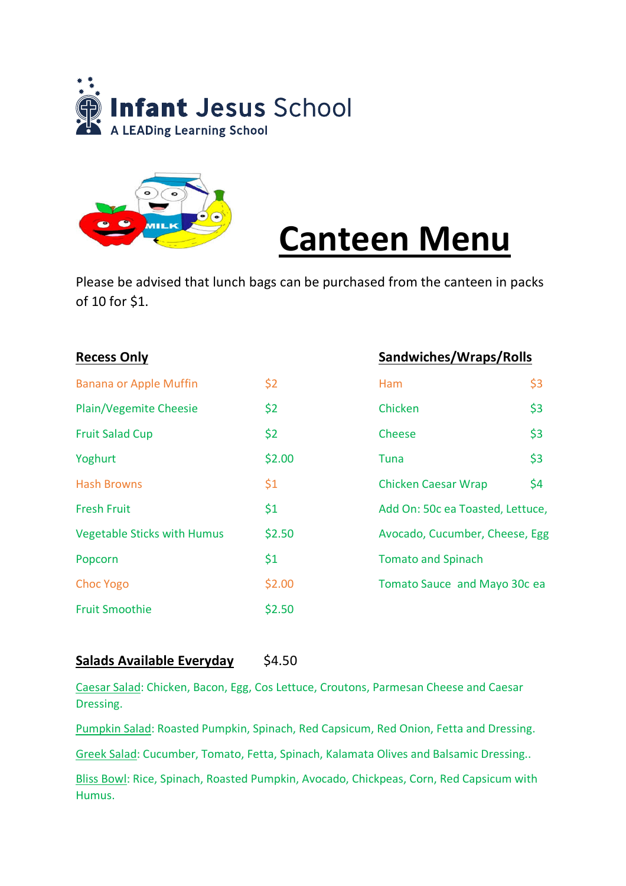



# **Canteen Menu**

Please be advised that lunch bags can be purchased from the canteen in packs of 10 for \$1.

| <b>Recess Only</b>                 |        |                                  | Sandwiches/Wraps/Rolls |  |
|------------------------------------|--------|----------------------------------|------------------------|--|
| <b>Banana or Apple Muffin</b>      | \$2    | <b>Ham</b>                       | \$3                    |  |
| <b>Plain/Vegemite Cheesie</b>      | \$2    | Chicken                          | \$3                    |  |
| <b>Fruit Salad Cup</b>             | \$2    | Cheese                           | \$3                    |  |
| Yoghurt                            | \$2.00 | Tuna                             | \$3                    |  |
| <b>Hash Browns</b>                 | \$1    | <b>Chicken Caesar Wrap</b>       | \$4                    |  |
| <b>Fresh Fruit</b>                 | \$1    | Add On: 50c ea Toasted, Lettuce, |                        |  |
| <b>Vegetable Sticks with Humus</b> | \$2.50 | Avocado, Cucumber, Cheese, Egg   |                        |  |
| Popcorn                            | \$1    | <b>Tomato and Spinach</b>        |                        |  |
| <b>Choc Yogo</b>                   | \$2.00 | Tomato Sauce and Mayo 30c ea     |                        |  |
| <b>Fruit Smoothie</b>              | \$2.50 |                                  |                        |  |

#### **Salads Available Everyday** \$4.50

Caesar Salad: Chicken, Bacon, Egg, Cos Lettuce, Croutons, Parmesan Cheese and Caesar Dressing.

Pumpkin Salad: Roasted Pumpkin, Spinach, Red Capsicum, Red Onion, Fetta and Dressing.

Greek Salad: Cucumber, Tomato, Fetta, Spinach, Kalamata Olives and Balsamic Dressing..

Bliss Bowl: Rice, Spinach, Roasted Pumpkin, Avocado, Chickpeas, Corn, Red Capsicum with Humus.